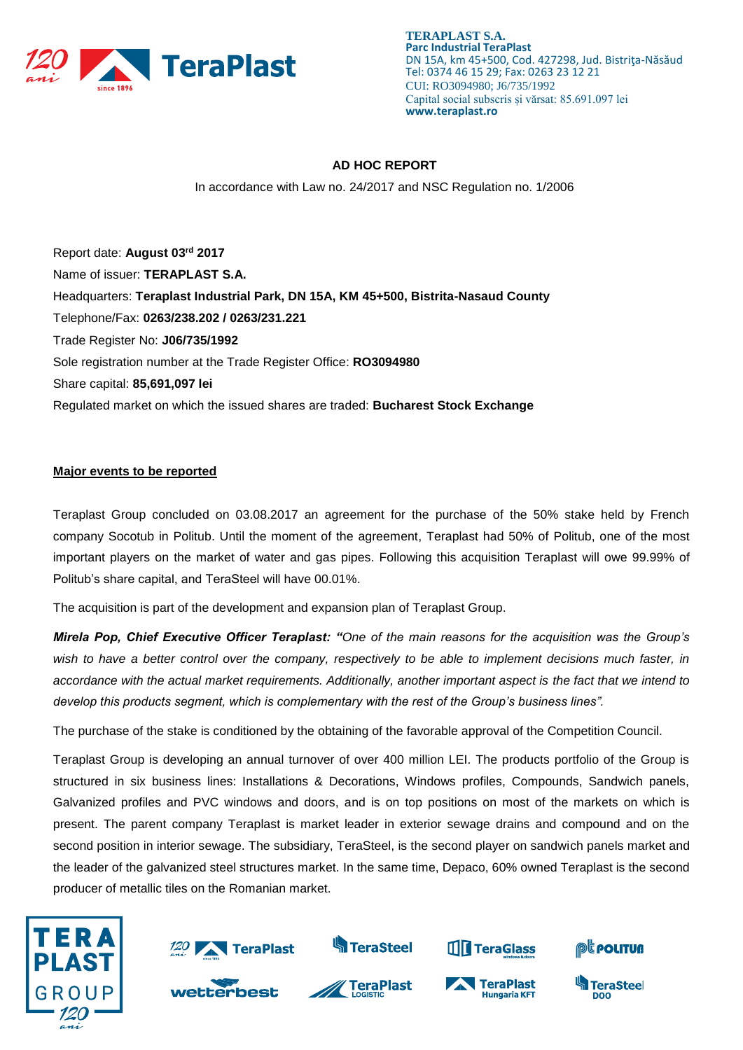

**TERAPLAST S.A. Parc Industrial TeraPlast** DN 15A, km 45+500, Cod. 427298, Jud. Bistriţa-Năsăud Tel: 0374 46 15 29; Fax: 0263 23 12 21 CUI: RO3094980; J6/735/1992 Capital social subscris și vărsat: 85.691.097 lei **www.teraplast.ro**

## **AD HOC REPORT**

In accordance with Law no. 24/2017 and NSC Regulation no. 1/2006

Report date: **August 03rd 2017** Name of issuer: **TERAPLAST S.A.**  Headquarters: **Teraplast Industrial Park, DN 15A, KM 45+500, Bistrita-Nasaud County** Telephone/Fax: **0263/238.202 / 0263/231.221** Trade Register No: **J06/735/1992** Sole registration number at the Trade Register Office: **RO3094980** Share capital: **85,691,097 lei**  Regulated market on which the issued shares are traded: **Bucharest Stock Exchange**

## **Major events to be reported**

Teraplast Group concluded on 03.08.2017 an agreement for the purchase of the 50% stake held by French company Socotub in Politub. Until the moment of the agreement, Teraplast had 50% of Politub, one of the most important players on the market of water and gas pipes. Following this acquisition Teraplast will owe 99.99% of Politub's share capital, and TeraSteel will have 00.01%.

The acquisition is part of the development and expansion plan of Teraplast Group.

*Mirela Pop, Chief Executive Officer Teraplast: "One of the main reasons for the acquisition was the Group's wish to have a better control over the company, respectively to be able to implement decisions much faster, in accordance with the actual market requirements. Additionally, another important aspect is the fact that we intend to develop this products segment, which is complementary with the rest of the Group's business lines".* 

The purchase of the stake is conditioned by the obtaining of the favorable approval of the Competition Council.

Teraplast Group is developing an annual turnover of over 400 million LEI. The products portfolio of the Group is structured in six business lines: Installations & Decorations, Windows profiles, Compounds, Sandwich panels, Galvanized profiles and PVC windows and doors, and is on top positions on most of the markets on which is present. The parent company Teraplast is market leader in exterior sewage drains and compound and on the second position in interior sewage. The subsidiary, TeraSteel, is the second player on sandwich panels market and the leader of the galvanized steel structures market. In the same time, Depaco, 60% owned Teraplast is the second producer of metallic tiles on the Romanian market.





wetterbest



**S**TeraSteel



**Hungaria KFT**